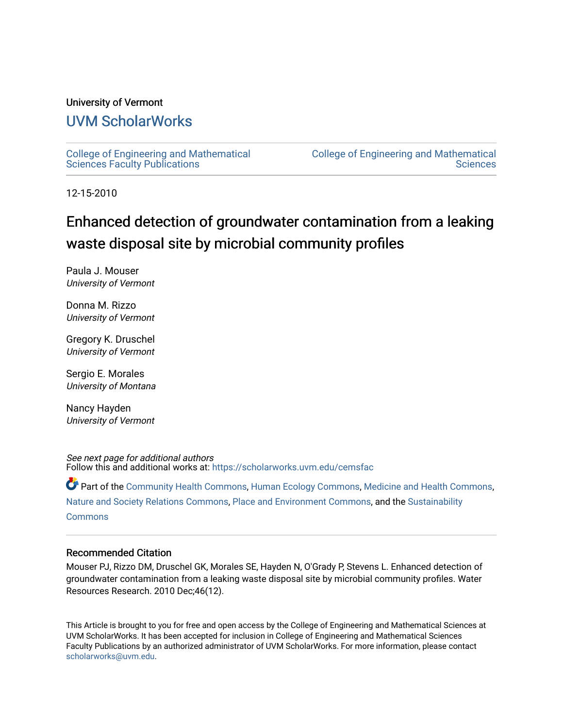## University of Vermont

# [UVM ScholarWorks](https://scholarworks.uvm.edu/)

[College of Engineering and Mathematical](https://scholarworks.uvm.edu/cemsfac)  [Sciences Faculty Publications](https://scholarworks.uvm.edu/cemsfac)

[College of Engineering and Mathematical](https://scholarworks.uvm.edu/cems)  **Sciences** 

12-15-2010

# Enhanced detection of groundwater contamination from a leaking waste disposal site by microbial community profiles

Paula J. Mouser University of Vermont

Donna M. Rizzo University of Vermont

Gregory K. Druschel University of Vermont

Sergio E. Morales University of Montana

Nancy Hayden University of Vermont

See next page for additional authors Follow this and additional works at: [https://scholarworks.uvm.edu/cemsfac](https://scholarworks.uvm.edu/cemsfac?utm_source=scholarworks.uvm.edu%2Fcemsfac%2F61&utm_medium=PDF&utm_campaign=PDFCoverPages) 

Part of the [Community Health Commons,](http://network.bepress.com/hgg/discipline/714?utm_source=scholarworks.uvm.edu%2Fcemsfac%2F61&utm_medium=PDF&utm_campaign=PDFCoverPages) [Human Ecology Commons](http://network.bepress.com/hgg/discipline/1335?utm_source=scholarworks.uvm.edu%2Fcemsfac%2F61&utm_medium=PDF&utm_campaign=PDFCoverPages), [Medicine and Health Commons,](http://network.bepress.com/hgg/discipline/422?utm_source=scholarworks.uvm.edu%2Fcemsfac%2F61&utm_medium=PDF&utm_campaign=PDFCoverPages) [Nature and Society Relations Commons,](http://network.bepress.com/hgg/discipline/357?utm_source=scholarworks.uvm.edu%2Fcemsfac%2F61&utm_medium=PDF&utm_campaign=PDFCoverPages) [Place and Environment Commons,](http://network.bepress.com/hgg/discipline/424?utm_source=scholarworks.uvm.edu%2Fcemsfac%2F61&utm_medium=PDF&utm_campaign=PDFCoverPages) and the [Sustainability](http://network.bepress.com/hgg/discipline/1031?utm_source=scholarworks.uvm.edu%2Fcemsfac%2F61&utm_medium=PDF&utm_campaign=PDFCoverPages) **[Commons](http://network.bepress.com/hgg/discipline/1031?utm_source=scholarworks.uvm.edu%2Fcemsfac%2F61&utm_medium=PDF&utm_campaign=PDFCoverPages)** 

### Recommended Citation

Mouser PJ, Rizzo DM, Druschel GK, Morales SE, Hayden N, O'Grady P, Stevens L. Enhanced detection of groundwater contamination from a leaking waste disposal site by microbial community profiles. Water Resources Research. 2010 Dec;46(12).

This Article is brought to you for free and open access by the College of Engineering and Mathematical Sciences at UVM ScholarWorks. It has been accepted for inclusion in College of Engineering and Mathematical Sciences Faculty Publications by an authorized administrator of UVM ScholarWorks. For more information, please contact [scholarworks@uvm.edu](mailto:scholarworks@uvm.edu).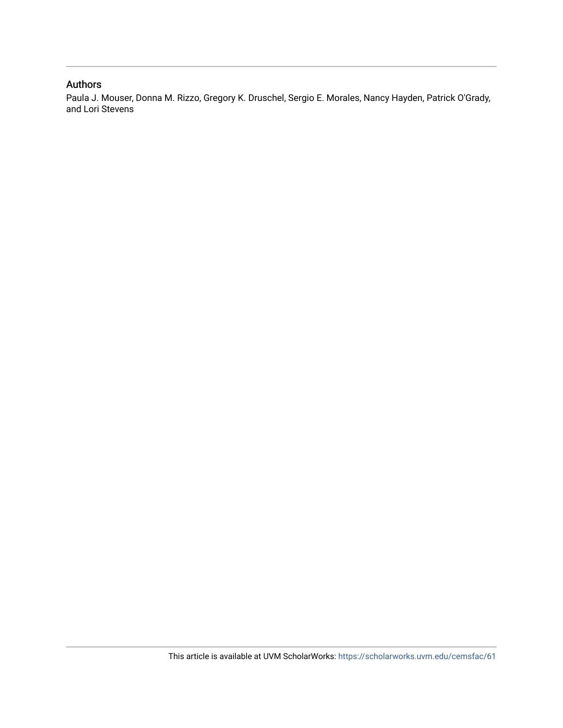## Authors

Paula J. Mouser, Donna M. Rizzo, Gregory K. Druschel, Sergio E. Morales, Nancy Hayden, Patrick O'Grady, and Lori Stevens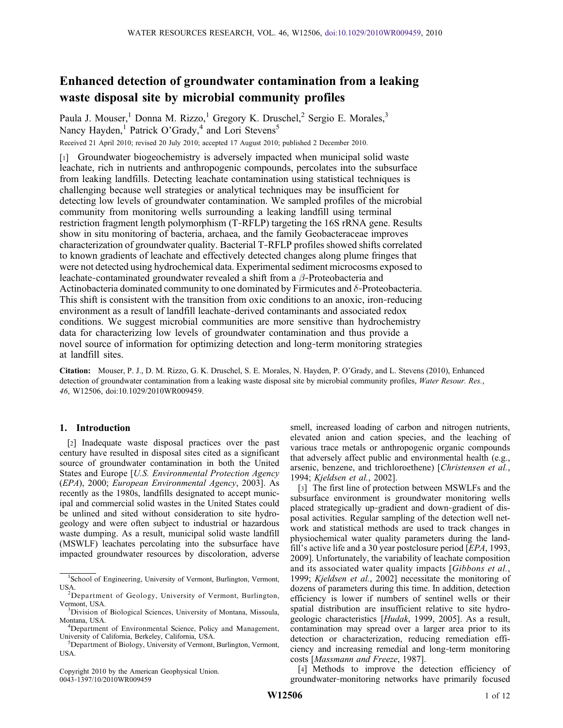# Enhanced detection of groundwater contamination from a leaking waste disposal site by microbial community profiles

Paula J. Mouser,<sup>1</sup> Donna M. Rizzo,<sup>1</sup> Gregory K. Druschel,<sup>2</sup> Sergio E. Morales,<sup>3</sup> Nancy Hayden,<sup>1</sup> Patrick O'Grady,<sup>4</sup> and Lori Stevens<sup>5</sup>

Received 21 April 2010; revised 20 July 2010; accepted 17 August 2010; published 2 December 2010.

[1] Groundwater biogeochemistry is adversely impacted when municipal solid waste leachate, rich in nutrients and anthropogenic compounds, percolates into the subsurface from leaking landfills. Detecting leachate contamination using statistical techniques is challenging because well strategies or analytical techniques may be insufficient for detecting low levels of groundwater contamination. We sampled profiles of the microbial community from monitoring wells surrounding a leaking landfill using terminal restriction fragment length polymorphism (T‐RFLP) targeting the 16S rRNA gene. Results show in situ monitoring of bacteria, archaea, and the family Geobacteraceae improves characterization of groundwater quality. Bacterial T‐RFLP profiles showed shifts correlated to known gradients of leachate and effectively detected changes along plume fringes that were not detected using hydrochemical data. Experimental sediment microcosms exposed to leachate–contaminated groundwater revealed a shift from a  $\beta$ –Proteobacteria and Actinobacteria dominated community to one dominated by Firmicutes and  $\delta$ -Proteobacteria. This shift is consistent with the transition from oxic conditions to an anoxic, iron‐reducing environment as a result of landfill leachate‐derived contaminants and associated redox conditions. We suggest microbial communities are more sensitive than hydrochemistry data for characterizing low levels of groundwater contamination and thus provide a novel source of information for optimizing detection and long-term monitoring strategies at landfill sites.

Citation: Mouser, P. J., D. M. Rizzo, G. K. Druschel, S. E. Morales, N. Hayden, P. O'Grady, and L. Stevens (2010), Enhanced detection of groundwater contamination from a leaking waste disposal site by microbial community profiles, Water Resour. Res., 46, W12506, doi:10.1029/2010WR009459.

#### 1. Introduction

[2] Inadequate waste disposal practices over the past century have resulted in disposal sites cited as a significant source of groundwater contamination in both the United States and Europe [U.S. Environmental Protection Agency (EPA), 2000; European Environmental Agency, 2003]. As recently as the 1980s, landfills designated to accept municipal and commercial solid wastes in the United States could be unlined and sited without consideration to site hydrogeology and were often subject to industrial or hazardous waste dumping. As a result, municipal solid waste landfill (MSWLF) leachates percolating into the subsurface have impacted groundwater resources by discoloration, adverse

Copyright 2010 by the American Geophysical Union. 0043‐1397/10/2010WR009459

smell, increased loading of carbon and nitrogen nutrients, elevated anion and cation species, and the leaching of various trace metals or anthropogenic organic compounds that adversely affect public and environmental health (e.g., arsenic, benzene, and trichloroethene) [Christensen et al., 1994; Kjeldsen et al., 2002].

[3] The first line of protection between MSWLFs and the subsurface environment is groundwater monitoring wells placed strategically up‐gradient and down‐gradient of disposal activities. Regular sampling of the detection well network and statistical methods are used to track changes in physiochemical water quality parameters during the landfill's active life and a 30 year postclosure period [EPA, 1993, 2009]. Unfortunately, the variability of leachate composition and its associated water quality impacts [Gibbons et al., 1999; Kjeldsen et al., 2002] necessitate the monitoring of dozens of parameters during this time. In addition, detection efficiency is lower if numbers of sentinel wells or their spatial distribution are insufficient relative to site hydrogeologic characteristics [Hudak, 1999, 2005]. As a result, contamination may spread over a larger area prior to its detection or characterization, reducing remediation efficiency and increasing remedial and long‐term monitoring costs [Massmann and Freeze, 1987].

[4] Methods to improve the detection efficiency of groundwater‐monitoring networks have primarily focused

<sup>&</sup>lt;sup>1</sup>School of Engineering, University of Vermont, Burlington, Vermont, USA.

<sup>&</sup>lt;sup>2</sup>Department of Geology, University of Vermont, Burlington, Vermont, USA.

<sup>&</sup>lt;sup>3</sup>Division of Biological Sciences, University of Montana, Missoula, Montana, USA.

Department of Environmental Science, Policy and Management, University of California, Berkeley, California, USA. <sup>5</sup>

<sup>&</sup>lt;sup>5</sup>Department of Biology, University of Vermont, Burlington, Vermont, USA.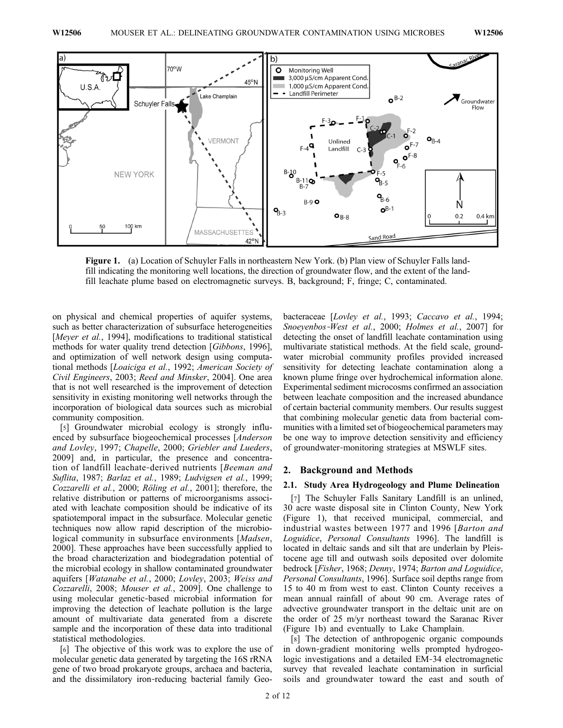

Figure 1. (a) Location of Schuyler Falls in northeastern New York. (b) Plan view of Schuyler Falls landfill indicating the monitoring well locations, the direction of groundwater flow, and the extent of the landfill leachate plume based on electromagnetic surveys. B, background; F, fringe; C, contaminated.

on physical and chemical properties of aquifer systems, such as better characterization of subsurface heterogeneities [Meyer et al., 1994], modifications to traditional statistical methods for water quality trend detection [Gibbons, 1996], and optimization of well network design using computational methods [Loaiciga et al., 1992; American Society of Civil Engineers, 2003; Reed and Minsker, 2004]. One area that is not well researched is the improvement of detection sensitivity in existing monitoring well networks through the incorporation of biological data sources such as microbial community composition.

[5] Groundwater microbial ecology is strongly influenced by subsurface biogeochemical processes [Anderson and Lovley, 1997; Chapelle, 2000; Griebler and Lueders, 2009] and, in particular, the presence and concentration of landfill leachate-derived nutrients [Beeman and Suflita, 1987; Barlaz et al., 1989; Ludvigsen et al., 1999; Cozzarelli et al., 2000; Röling et al., 2001]; therefore, the relative distribution or patterns of microorganisms associated with leachate composition should be indicative of its spatiotemporal impact in the subsurface. Molecular genetic techniques now allow rapid description of the microbiological community in subsurface environments [*Madsen*, 2000]. These approaches have been successfully applied to the broad characterization and biodegradation potential of the microbial ecology in shallow contaminated groundwater aquifers [Watanabe et al., 2000; Lovley, 2003; Weiss and Cozzarelli, 2008; Mouser et al., 2009]. One challenge to using molecular genetic‐based microbial information for improving the detection of leachate pollution is the large amount of multivariate data generated from a discrete sample and the incorporation of these data into traditional statistical methodologies.

[6] The objective of this work was to explore the use of molecular genetic data generated by targeting the 16S rRNA gene of two broad prokaryote groups, archaea and bacteria, and the dissimilatory iron‐reducing bacterial family Geobacteraceae [Lovley et al., 1993; Caccavo et al., 1994; Snoeyenbos-West et al., 2000; Holmes et al., 2007] for detecting the onset of landfill leachate contamination using multivariate statistical methods. At the field scale, groundwater microbial community profiles provided increased sensitivity for detecting leachate contamination along a known plume fringe over hydrochemical information alone. Experimental sediment microcosms confirmed an association between leachate composition and the increased abundance of certain bacterial community members. Our results suggest that combining molecular genetic data from bacterial communities with a limited set of biogeochemical parameters may be one way to improve detection sensitivity and efficiency of groundwater‐monitoring strategies at MSWLF sites.

#### 2. Background and Methods

#### 2.1. Study Area Hydrogeology and Plume Delineation

[7] The Schuyler Falls Sanitary Landfill is an unlined, 30 acre waste disposal site in Clinton County, New York (Figure 1), that received municipal, commercial, and industrial wastes between 1977 and 1996 [Barton and Loguidice, Personal Consultants 1996]. The landfill is located in deltaic sands and silt that are underlain by Pleistocene age till and outwash soils deposited over dolomite bedrock [Fisher, 1968; Denny, 1974; Barton and Loguidice, Personal Consultants, 1996]. Surface soil depths range from 15 to 40 m from west to east. Clinton County receives a mean annual rainfall of about 90 cm. Average rates of advective groundwater transport in the deltaic unit are on the order of 25 m/yr northeast toward the Saranac River (Figure 1b) and eventually to Lake Champlain.

[8] The detection of anthropogenic organic compounds in down‐gradient monitoring wells prompted hydrogeologic investigations and a detailed EM‐34 electromagnetic survey that revealed leachate contamination in surficial soils and groundwater toward the east and south of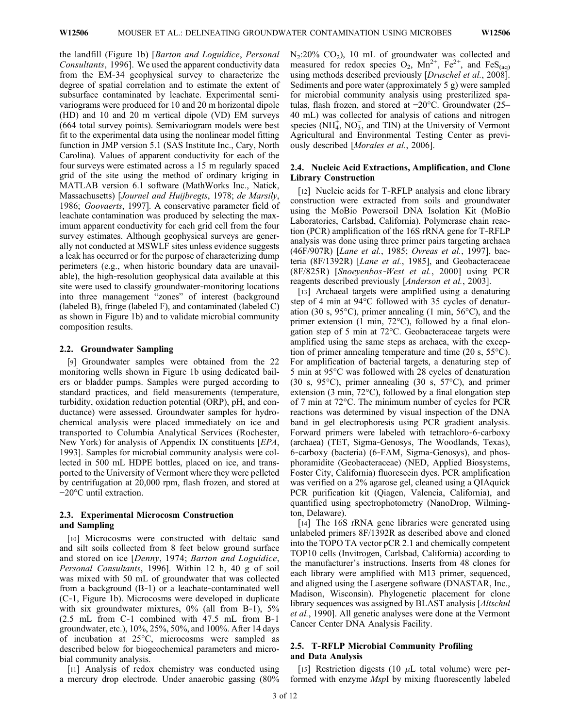the landfill (Figure 1b) [Barton and Loguidice, Personal Consultants, 1996]. We used the apparent conductivity data from the EM‐34 geophysical survey to characterize the degree of spatial correlation and to estimate the extent of subsurface contaminated by leachate. Experimental semivariograms were produced for 10 and 20 m horizontal dipole (HD) and 10 and 20 m vertical dipole (VD) EM surveys (664 total survey points). Semivariogram models were best fit to the experimental data using the nonlinear model fitting function in JMP version 5.1 (SAS Institute Inc., Cary, North Carolina). Values of apparent conductivity for each of the four surveys were estimated across a 15 m regularly spaced grid of the site using the method of ordinary kriging in MATLAB version 6.1 software (MathWorks Inc., Natick, Massachusetts) [Journel and Huijbregts, 1978; de Marsily, 1986; Goovaerts, 1997]. A conservative parameter field of leachate contamination was produced by selecting the maximum apparent conductivity for each grid cell from the four survey estimates. Although geophysical surveys are generally not conducted at MSWLF sites unless evidence suggests a leak has occurred or for the purpose of characterizing dump perimeters (e.g., when historic boundary data are unavailable), the high‐resolution geophysical data available at this site were used to classify groundwater‐monitoring locations into three management "zones" of interest (background (labeled B), fringe (labeled F), and contaminated (labeled C) as shown in Figure 1b) and to validate microbial community composition results.

#### 2.2. Groundwater Sampling

[9] Groundwater samples were obtained from the 22 monitoring wells shown in Figure 1b using dedicated bailers or bladder pumps. Samples were purged according to standard practices, and field measurements (temperature, turbidity, oxidation reduction potential (ORP), pH, and conductance) were assessed. Groundwater samples for hydrochemical analysis were placed immediately on ice and transported to Columbia Analytical Services (Rochester, New York) for analysis of Appendix IX constituents [EPA, 1993]. Samples for microbial community analysis were collected in 500 mL HDPE bottles, placed on ice, and transported to the University of Vermont where they were pelleted by centrifugation at 20,000 rpm, flash frozen, and stored at −20°C until extraction.

#### 2.3. Experimental Microcosm Construction and Sampling

[10] Microcosms were constructed with deltaic sand and silt soils collected from 8 feet below ground surface and stored on ice [Denny, 1974; Barton and Loguidice, Personal Consultants, 1996]. Within 12 h, 40 g of soil was mixed with 50 mL of groundwater that was collected from a background (B‐1) or a leachate‐contaminated well (C‐1, Figure 1b). Microcosms were developed in duplicate with six groundwater mixtures,  $0\%$  (all from B-1),  $5\%$ (2.5 mL from C‐1 combined with 47.5 mL from B‐1 groundwater, etc.), 10%, 25%, 50%, and 100%. After 14 days of incubation at 25°C, microcosms were sampled as described below for biogeochemical parameters and microbial community analysis.

[11] Analysis of redox chemistry was conducted using a mercury drop electrode. Under anaerobic gassing (80%  $N_2:20\%$  CO<sub>2</sub>), 10 mL of groundwater was collected and measured for redox species  $O_2$ ,  $Mn^{2+}$ ,  $Fe^{2+}$ , and  $FeS<sub>(aa)</sub>$ using methods described previously [Druschel et al., 2008]. Sediments and pore water (approximately 5 g) were sampled for microbial community analysis using presterilized spatulas, flash frozen, and stored at −20°C. Groundwater (25– 40 mL) was collected for analysis of cations and nitrogen species  $(NH_4^+ NO_3^-)$ , and TIN) at the University of Vermont Agricultural and Environmental Testing Center as previously described [Morales et al., 2006].

#### 2.4. Nucleic Acid Extractions, Amplification, and Clone Library Construction

[12] Nucleic acids for T-RFLP analysis and clone library construction were extracted from soils and groundwater using the MoBio Powersoil DNA Isolation Kit (MoBio Laboratories, Carlsbad, California). Polymerase chain reaction (PCR) amplification of the 16S rRNA gene for T‐RFLP analysis was done using three primer pairs targeting archaea (46F/907R) [Lane et al., 1985; Ovreas et al., 1997], bacteria (8F/1392R) [Lane et al., 1985], and Geobacteraceae (8F/825R) [Snoeyenbos‐West et al., 2000] using PCR reagents described previously [Anderson et al., 2003].

[13] Archaeal targets were amplified using a denaturing step of 4 min at 94°C followed with 35 cycles of denaturation (30 s, 95°C), primer annealing (1 min, 56°C), and the primer extension (1 min, 72°C), followed by a final elongation step of 5 min at 72°C. Geobacteraceae targets were amplified using the same steps as archaea, with the exception of primer annealing temperature and time (20 s, 55°C). For amplification of bacterial targets, a denaturing step of 5 min at 95°C was followed with 28 cycles of denaturation (30 s, 95°C), primer annealing (30 s, 57°C), and primer extension (3 min, 72°C), followed by a final elongation step of 7 min at 72°C. The minimum number of cycles for PCR reactions was determined by visual inspection of the DNA band in gel electrophoresis using PCR gradient analysis. Forward primers were labeled with tetrachloro‐6‐carboxy (archaea) (TET, Sigma‐Genosys, The Woodlands, Texas), 6‐carboxy (bacteria) (6‐FAM, Sigma‐Genosys), and phosphoramidite (Geobacteraceae) (NED, Applied Biosystems, Foster City, California) fluorescein dyes. PCR amplification was verified on a 2% agarose gel, cleaned using a QIAquick PCR purification kit (Qiagen, Valencia, California), and quantified using spectrophotometry (NanoDrop, Wilmington, Delaware).

[14] The 16S rRNA gene libraries were generated using unlabeled primers 8F/1392R as described above and cloned into the TOPO TA vector pCR 2.1 and chemically competent TOP10 cells (Invitrogen, Carlsbad, California) according to the manufacturer's instructions. Inserts from 48 clones for each library were amplified with M13 primer, sequenced, and aligned using the Lasergene software (DNASTAR, Inc., Madison, Wisconsin). Phylogenetic placement for clone library sequences was assigned by BLAST analysis [Altschul et al., 1990]. All genetic analyses were done at the Vermont Cancer Center DNA Analysis Facility.

#### 2.5. T‐RFLP Microbial Community Profiling and Data Analysis

[15] Restriction digests (10  $\mu$ L total volume) were performed with enzyme MspI by mixing fluorescently labeled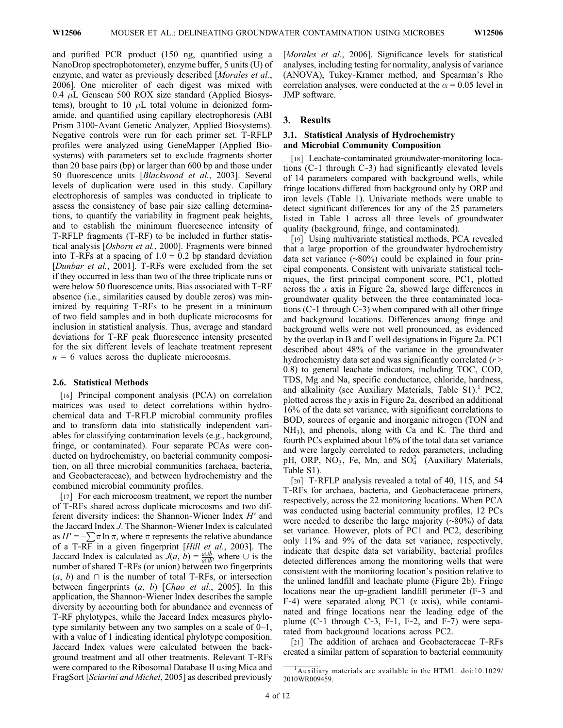and purified PCR product (150 ng, quantified using a NanoDrop spectrophotometer), enzyme buffer, 5 units (U) of enzyme, and water as previously described [Morales et al., 2006]. One microliter of each digest was mixed with 0.4  $\mu$ L Genscan 500 ROX size standard (Applied Biosystems), brought to 10  $\mu$ L total volume in deionized formamide, and quantified using capillary electrophoresis (ABI Prism 3100‐Avant Genetic Analyzer, Applied Biosystems). Negative controls were run for each primer set. T‐RFLP profiles were analyzed using GeneMapper (Applied Biosystems) with parameters set to exclude fragments shorter than 20 base pairs (bp) or larger than 600 bp and those under 50 fluorescence units [Blackwood et al., 2003]. Several levels of duplication were used in this study. Capillary electrophoresis of samples was conducted in triplicate to assess the consistency of base pair size calling determinations, to quantify the variability in fragment peak heights, and to establish the minimum fluorescence intensity of T‐RFLP fragments (T‐RF) to be included in further statistical analysis [Osborn et al., 2000]. Fragments were binned into T-RFs at a spacing of  $1.0 \pm 0.2$  bp standard deviation [Dunbar et al., 2001]. T-RFs were excluded from the set if they occurred in less than two of the three triplicate runs or were below 50 fluorescence units. Bias associated with T‐RF absence (i.e., similarities caused by double zeros) was minimized by requiring T‐RFs to be present in a minimum of two field samples and in both duplicate microcosms for inclusion in statistical analysis. Thus, average and standard deviations for T‐RF peak fluorescence intensity presented for the six different levels of leachate treatment represent  $n = 6$  values across the duplicate microcosms.

#### 2.6. Statistical Methods

[16] Principal component analysis (PCA) on correlation matrices was used to detect correlations within hydrochemical data and T‐RFLP microbial community profiles and to transform data into statistically independent variables for classifying contamination levels (e.g., background, fringe, or contaminated). Four separate PCAs were conducted on hydrochemistry, on bacterial community composition, on all three microbial communities (archaea, bacteria, and Geobacteraceae), and between hydrochemistry and the combined microbial community profiles.

[17] For each microcosm treatment, we report the number of T‐RFs shared across duplicate microcosms and two different diversity indices: the Shannon-Wiener Index H' and the Jaccard Index J. The Shannon‐Wiener Index is calculated as  $H' = -\sum_{\pi} \ln \pi$ , where  $\pi$  represents the relative abundance of a T-R $\overline{F}$  in a given fingerprint [Hill et al., 2003]. The Jaccard Index is calculated as  $J(a, b) = \frac{a \cup b}{a \cap b}$ , where  $\cup$  is the number of aboved T. R.E. (counting) between two fine approximate number of shared T‐RFs (or union) between two fingerprints  $(a, b)$  and  $\cap$  is the number of total T-RFs, or intersection between fingerprints  $(a, b)$  [Chao et al., 2005]. In this application, the Shannon‐Wiener Index describes the sample diversity by accounting both for abundance and evenness of T‐RF phylotypes, while the Jaccard Index measures phylotype similarity between any two samples on a scale of 0–1, with a value of 1 indicating identical phylotype composition. Jaccard Index values were calculated between the background treatment and all other treatments. Relevant T‐RFs were compared to the Ribosomal Database II using Mica and FragSort [Sciarini and Michel, 2005] as described previously

[Morales et al., 2006]. Significance levels for statistical analyses, including testing for normality, analysis of variance (ANOVA), Tukey‐Kramer method, and Spearman's Rho correlation analyses, were conducted at the  $\alpha$  = 0.05 level in JMP software.

#### 3. Results

#### 3.1. Statistical Analysis of Hydrochemistry and Microbial Community Composition

[18] Leachate-contaminated groundwater-monitoring locations (C‐1 through C‐3) had significantly elevated levels of 14 parameters compared with background wells, while fringe locations differed from background only by ORP and iron levels (Table 1). Univariate methods were unable to detect significant differences for any of the 25 parameters listed in Table 1 across all three levels of groundwater quality (background, fringe, and contaminated).

[19] Using multivariate statistical methods, PCA revealed that a large proportion of the groundwater hydrochemistry data set variance (∼80%) could be explained in four principal components. Consistent with univariate statistical techniques, the first principal component score, PC1, plotted across the x axis in Figure 2a, showed large differences in groundwater quality between the three contaminated locations (C‐1 through C‐3) when compared with all other fringe and background locations. Differences among fringe and background wells were not well pronounced, as evidenced by the overlap in B and F well designations in Figure 2a. PC1 described about 48% of the variance in the groundwater hydrochemistry data set and was significantly correlated  $(r >$ 0.8) to general leachate indicators, including TOC, COD, TDS, Mg and Na, specific conductance, chloride, hardness, and alkalinity (see Auxiliary Materials, Table  $S1$ ).<sup>1</sup> PC2, plotted across the y axis in Figure 2a, described an additional 16% of the data set variance, with significant correlations to BOD, sources of organic and inorganic nitrogen (TON and NH3), and phenols, along with Ca and K. The third and fourth PCs explained about 16% of the total data set variance and were largely correlated to redox parameters, including pH, ORP,  $\overline{NO_3}$ , Fe, Mn, and  $SO_4^{2-}$  (Auxiliary Materials, Table S1).

[20] T-RFLP analysis revealed a total of 40, 115, and 54 T‐RFs for archaea, bacteria, and Geobacteraceae primers, respectively, across the 22 monitoring locations. When PCA was conducted using bacterial community profiles, 12 PCs were needed to describe the large majority (∼80%) of data set variance. However, plots of PC1 and PC2, describing only 11% and 9% of the data set variance, respectively, indicate that despite data set variability, bacterial profiles detected differences among the monitoring wells that were consistent with the monitoring location's position relative to the unlined landfill and leachate plume (Figure 2b). Fringe locations near the up‐gradient landfill perimeter (F‐3 and  $F-4$ ) were separated along PC1 (x axis), while contaminated and fringe locations near the leading edge of the plume (C-1 through C-3, F-1, F-2, and F-7) were separated from background locations across PC2.

[21] The addition of archaea and Geobacteraceae T‐RFs created a similar pattern of separation to bacterial community

<sup>&</sup>lt;sup>1</sup>Auxiliary materials are available in the HTML. doi:10.1029/ 2010WR009459.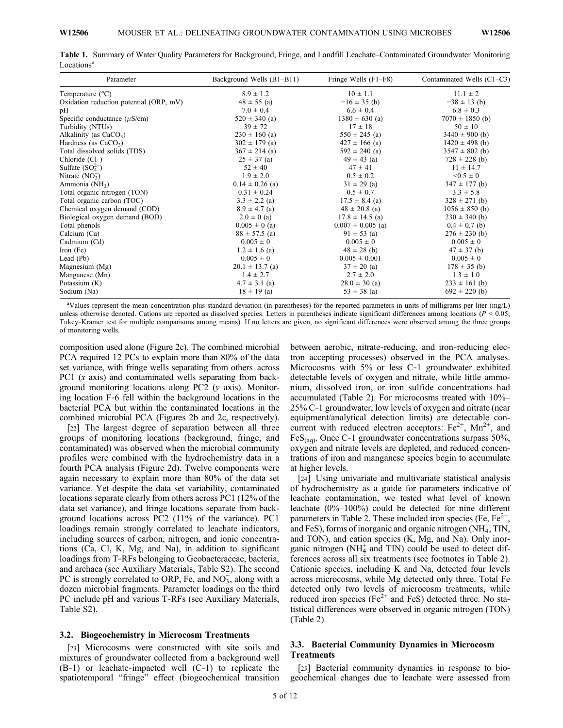| Parameter                               | Background Wells (B1-B11) | Fringe Wells $(F1-F8)$ | Contaminated Wells (C1-C3) |
|-----------------------------------------|---------------------------|------------------------|----------------------------|
| Temperature $(^{\circ}C)$               | $8.9 \pm 1.2$             | $10 \pm 1.1$           | $11.1 \pm 2$               |
| Oxidation reduction potential (ORP, mV) | $48 \pm 55$ (a)           | $-16 \pm 35$ (b)       | $-38 \pm 13$ (b)           |
| pH                                      | $7.0 \pm 0.4$             | $6.6 \pm 0.4$          | $6.8 \pm 0.3$              |
| Specific conductance $(\mu S/cm)$       | $520 \pm 340$ (a)         | $1380 \pm 630$ (a)     | $7070 \pm 1850$ (b)        |
| Turbidity (NTUs)                        | $39 \pm 72$               | $17 \pm 18$            | $50 \pm 10$                |
| Alkalinity (as $CaCO3$ )                | $230 \pm 160$ (a)         | $550 \pm 245$ (a)      | $3440 \pm 900$ (b)         |
| Hardness (as $CaCO3$ )                  | $302 \pm 179$ (a)         | $427 \pm 166$ (a)      | $1420 \pm 498$ (b)         |
| Total dissolved solids (TDS)            | $367 \pm 214$ (a)         | $592 \pm 240$ (a)      | $3547 \pm 802$ (b)         |
| Chloride $(Cl^-)$                       | $25 \pm 37$ (a)           | $49 \pm 43$ (a)        | $728 \pm 228$ (b)          |
| Sulfate $(SO_4^{2-})$                   | $52 \pm 40$               | $47 \pm 41$            | $11 \pm 14.7$              |
| Nitrate $(NO_3)$                        | $1.9 \pm 2.0$             | $0.5 \pm 0.2$          | $< 0.5 \pm 0$              |
| Ammonia $(NH_3)$                        | $0.14 \pm 0.26$ (a)       | $31 \pm 29$ (a)        | $347 \pm 177$ (b)          |
| Total organic nitrogen (TON)            | $0.31 \pm 0.24$           | $0.5 \pm 0.7$          | $3.3 \pm 5.8$              |
| Total organic carbon (TOC)              | $3.3 \pm 2.2$ (a)         | $17.5 \pm 8.4$ (a)     | $328 \pm 271$ (b)          |
| Chemical oxygen demand (COD)            | $8.9 \pm 4.7$ (a)         | $48 \pm 20.8$ (a)      | $1056 \pm 850$ (b)         |
| Biological oxygen demand (BOD)          | $2.0 \pm 0$ (a)           | $17.8 \pm 14.5$ (a)    | $230 \pm 340$ (b)          |
| Total phenols                           | $0.005 \pm 0$ (a)         | $0.007 \pm 0.005$ (a)  | $0.4 \pm 0.7$ (b)          |
| Calcium $(Ca)$                          | $88 \pm 57.5$ (a)         | $91 \pm 53$ (a)        | $276 \pm 230$ (b)          |
| Cadmium (Cd)                            | $0.005 \pm 0$             | $0.005 \pm 0$          | $0.005 \pm 0$              |
| Iron $(Fe)$                             | $1.2 \pm 1.6$ (a)         | $48 \pm 28$ (b)        | $47 \pm 37$ (b)            |
| Lead (Pb)                               | $0.005 \pm 0$             | $0.005 \pm 0.001$      | $0.005 \pm 0$              |
| Magnesium (Mg)                          | $20.1 \pm 13.7$ (a)       | $37 \pm 20$ (a)        | $178 \pm 35$ (b)           |
| Manganese (Mn)                          | $1.4 \pm 2.7$             | $2.7 \pm 2.0$          | $1.3 \pm 1.0$              |
| Potassium (K)                           | $4.7 \pm 3.1$ (a)         | $28.0 \pm 30$ (a)      | $233 \pm 161$ (b)          |
| Sodium (Na)                             | $18 \pm 19$ (a)           | $53 \pm 38$ (a)        | $692 \pm 220$ (b)          |

Table 1. Summary of Water Quality Parameters for Background, Fringe, and Landfill Leachate–Contaminated Groundwater Monitoring Locations<sup>a</sup>

<sup>a</sup>Values represent the mean concentration plus standard deviation (in parentheses) for the reported parameters in units of milligrams per liter (mg/L) unless otherwise denoted. Cations are reported as dissolved species. Letters in parentheses indicate significant differences among locations ( $P \le 0.05$ ; Tukey‐Kramer test for multiple comparisons among means). If no letters are given, no significant differences were observed among the three groups of monitoring wells.

composition used alone (Figure 2c). The combined microbial PCA required 12 PCs to explain more than 80% of the data set variance, with fringe wells separating from others across PC1 (x axis) and contaminated wells separating from background monitoring locations along PC2  $(y \text{ axis})$ . Monitoring location F‐6 fell within the background locations in the bacterial PCA but within the contaminated locations in the combined microbial PCA (Figures 2b and 2c, respectively).

[22] The largest degree of separation between all three groups of monitoring locations (background, fringe, and contaminated) was observed when the microbial community profiles were combined with the hydrochemistry data in a fourth PCA analysis (Figure 2d). Twelve components were again necessary to explain more than 80% of the data set variance. Yet despite the data set variability, contaminated locations separate clearly from others across PC1 (12% of the data set variance), and fringe locations separate from background locations across PC2 (11% of the variance). PC1 loadings remain strongly correlated to leachate indicators, including sources of carbon, nitrogen, and ionic concentrations (Ca, Cl, K, Mg, and Na), in addition to significant loadings from T‐RFs belonging to Geobacteraceae, bacteria, and archaea (see Auxiliary Materials, Table S2). The second PC is strongly correlated to ORP, Fe, and  $NO<sub>3</sub>$ , along with a dozen microbial fragments. Parameter loadings on the third PC include pH and various T‐RFs (see Auxiliary Materials, Table S2).

#### 3.2. Biogeochemistry in Microcosm Treatments

[23] Microcosms were constructed with site soils and mixtures of groundwater collected from a background well (B‐1) or leachate‐impacted well (C‐1) to replicate the spatiotemporal "fringe" effect (biogeochemical transition

between aerobic, nitrate-reducing, and iron-reducing electron accepting processes) observed in the PCA analyses. Microcosms with 5% or less C‐1 groundwater exhibited detectable levels of oxygen and nitrate, while little ammonium, dissolved iron, or iron sulfide concentrations had accumulated (Table 2). For microcosms treated with 10%– 25% C‐1 groundwater, low levels of oxygen and nitrate (near equipment/analytical detection limits) are detectable concurrent with reduced electron acceptors:  $Fe^{2+}$ , Mn<sup>2+</sup>, and FeS $_{(aa)}$ . Once C-1 groundwater concentrations surpass 50%, oxygen and nitrate levels are depleted, and reduced concentrations of iron and manganese species begin to accumulate at higher levels.

[24] Using univariate and multivariate statistical analysis of hydrochemistry as a guide for parameters indicative of leachate contamination, we tested what level of known leachate (0%–100%) could be detected for nine different parameters in Table 2. These included iron species (Fe,  $Fe^{2+}$ , and FeS), forms of inorganic and organic nitrogen ( $\rm NH_4^+$ , TIN, and TON), and cation species (K, Mg, and Na). Only inorganic nitrogen (NH $_4^+$  and TIN) could be used to detect differences across all six treatments (see footnotes in Table 2). Cationic species, including K and Na, detected four levels across microcosms, while Mg detected only three. Total Fe detected only two levels of microcosm treatments, while reduced iron species ( $Fe<sup>2+</sup>$  and FeS) detected three. No statistical differences were observed in organic nitrogen (TON) (Table 2).

#### 3.3. Bacterial Community Dynamics in Microcosm **Treatments**

[25] Bacterial community dynamics in response to biogeochemical changes due to leachate were assessed from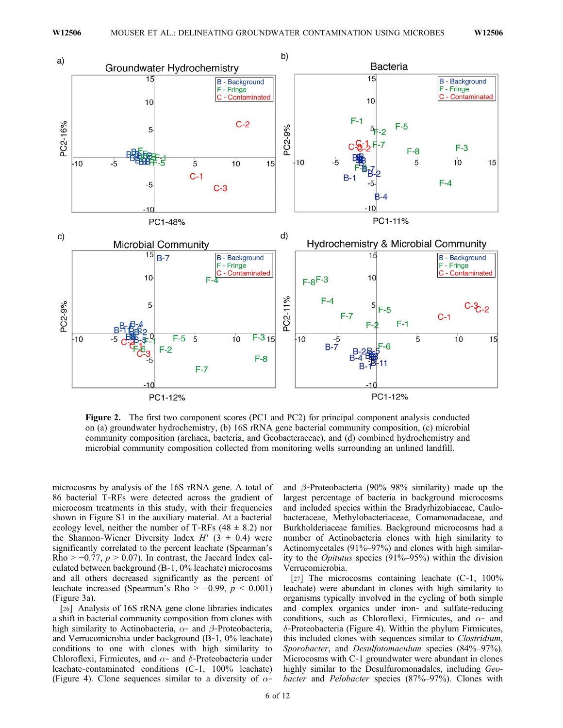

Figure 2. The first two component scores (PC1 and PC2) for principal component analysis conducted on (a) groundwater hydrochemistry, (b) 16S rRNA gene bacterial community composition, (c) microbial community composition (archaea, bacteria, and Geobacteraceae), and (d) combined hydrochemistry and microbial community composition collected from monitoring wells surrounding an unlined landfill.

microcosms by analysis of the 16S rRNA gene. A total of 86 bacterial T‐RFs were detected across the gradient of microcosm treatments in this study, with their frequencies shown in Figure S1 in the auxiliary material. At a bacterial ecology level, neither the number of T-RFs  $(48 \pm 8.2)$  nor the Shannon-Wiener Diversity Index  $H'$  (3  $\pm$  0.4) were significantly correlated to the percent leachate (Spearman's Rho >  $-0.77$ ,  $p > 0.07$ ). In contrast, the Jaccard Index calculated between background (B‐1, 0% leachate) microcosms and all others decreased significantly as the percent of leachate increased (Spearman's Rho >  $-0.99$ ,  $p < 0.001$ ) (Figure 3a).

[26] Analysis of 16S rRNA gene clone libraries indicates a shift in bacterial community composition from clones with high similarity to Actinobacteria,  $\alpha$ - and  $\beta$ -Proteobacteria, and Verrucomicrobia under background (B‐1, 0% leachate) conditions to one with clones with high similarity to Chloroflexi, Firmicutes, and  $\alpha$ - and  $\delta$ -Proteobacteria under leachate‐contaminated conditions (C‐1, 100% leachate) (Figure 4). Clone sequences similar to a diversity of  $\alpha$ -

and  $\beta$ -Proteobacteria (90%–98% similarity) made up the largest percentage of bacteria in background microcosms and included species within the Bradyrhizobiaceae, Caulobacteraceae, Methylobacteriaceae, Comamonadaceae, and Burkholderiaceae families. Background microcosms had a number of Actinobacteria clones with high similarity to Actinomycetales (91%–97%) and clones with high similarity to the Opitutus species (91%–95%) within the division Verrucomicrobia.

[27] The microcosms containing leachate (C-1, 100%) leachate) were abundant in clones with high similarity to organisms typically involved in the cycling of both simple and complex organics under iron‐ and sulfate‐reducing conditions, such as Chloroflexi, Firmicutes, and  $\alpha$ - and  $\delta$ -Proteobacteria (Figure 4). Within the phylum Firmicutes, this included clones with sequences similar to *Clostridium*, Sporobacter, and Desulfotomaculum species (84%–97%). Microcosms with C-1 groundwater were abundant in clones highly similar to the Desulfuromonadales, including Geobacter and Pelobacter species (87%–97%). Clones with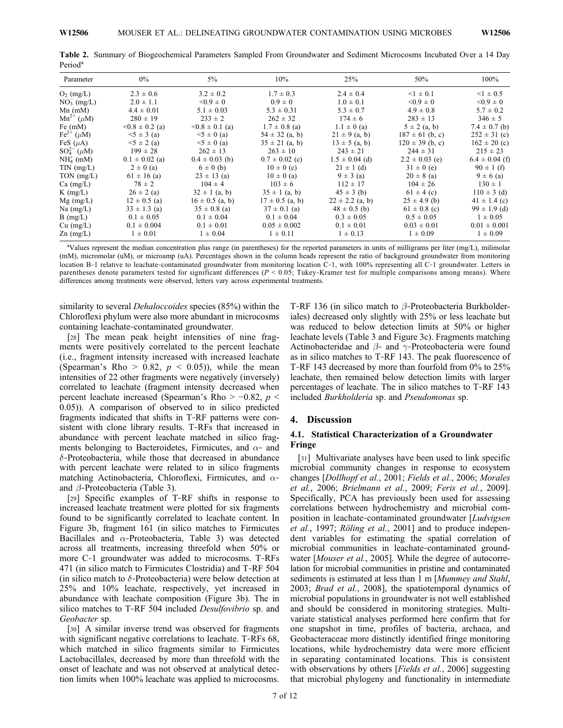| Parameter            | $0\%$               | $5\%$               | 10%                 | 25%                 | 50%                 | $100\%$            |
|----------------------|---------------------|---------------------|---------------------|---------------------|---------------------|--------------------|
| $O_2$ (mg/L)         | $2.3 \pm 0.6$       | $3.2 \pm 0.2$       | $1.7 \pm 0.3$       | $2.4 \pm 0.4$       | $<1 \pm 0.1$        | $\leq 1 \pm 0.5$   |
| $NO_3^-$ (mg/L)      | $2.0 \pm 1.1$       | $< 0.9 \pm 0$       | $0.9 \pm 0$         | $1.0 \pm 0.1$       | $< 0.9 \pm 0$       | $< 0.9 \pm 0$      |
| $Mn$ (mM)            | $4.4 \pm 0.01$      | $5.1 \pm 0.03$      | $5.3 \pm 0.31$      | $5.3 \pm 0.7$       | $4.9 \pm 0.8$       | $5.7 \pm 0.2$      |
| $Mn^{2+}$ ( $\mu$ M) | $280 \pm 19$        | $233 \pm 2$         | $262 \pm 32$        | $174 \pm 6$         | $283 \pm 13$        | $346 \pm 5$        |
| Fe (mM)              | $< 0.8 \pm 0.2$ (a) | $< 0.8 \pm 0.1$ (a) | $1.7 \pm 0.8$ (a)   | $1.1 \pm 0$ (a)     | $5 \pm 2$ (a, b)    | $7.4 \pm 0.7$ (b)  |
| $Fe^{2+} (\mu M)$    | $5 \pm 3$ (a)       | $5 \pm 0$ (a)       | $54 \pm 32$ (a, b)  | $21 \pm 9$ (a, b)   | $187 \pm 61$ (b, c) | $252 \pm 31$ (c)   |
| FeS $(\mu A)$        | $5 \pm 2$ (a)       | $5 \pm 0$ (a)       | $35 \pm 21$ (a, b)  | $13 \pm 5$ (a, b)   | $120 \pm 39$ (b, c) | $162 \pm 20$ (c)   |
| $SO_4^{2-}(\mu M)$   | $199 \pm 28$        | $262 \pm 13$        | $263 \pm 10$        | $243 \pm 21$        | $244 \pm 31$        | $215 \pm 23$       |
| $NH4+$ (mM)          | $0.1 \pm 0.02$ (a)  | $0.4 \pm 0.03$ (b)  | $0.7 \pm 0.02$ (c)  | $1.5 \pm 0.04$ (d)  | $2.2 \pm 0.03$ (e)  | $6.4 \pm 0.04$ (f) |
| $TIN$ (mg/L)         | $2 \pm 0$ (a)       | $6 \pm 0$ (b)       | $10 \pm 0$ (c)      | $21 \pm 1$ (d)      | $31 \pm 0$ (e)      | $90 \pm 1$ (f)     |
| TON(mg/L)            | $61 \pm 16$ (a)     | $23 \pm 13$ (a)     | $10 \pm 0$ (a)      | $9 \pm 3$ (a)       | $20 \pm 8$ (a)      | $9 \pm 6$ (a)      |
| $Ca \ (mg/L)$        | $78 \pm 2$          | $104 \pm 4$         | $103 \pm 6$         | $112 \pm 17$        | $104 \pm 26$        | $130 \pm 1$        |
| $K$ (mg/L)           | $26 \pm 2$ (a)      | $32 \pm 1$ (a, b)   | $35 \pm 1$ (a, b)   | $45 \pm 3$ (b)      | $61 \pm 4$ (c)      | $110 \pm 3$ (d)    |
| $Mg$ (mg/L)          | $12 \pm 0.5$ (a)    | $16 \pm 0.5$ (a, b) | $17 \pm 0.5$ (a, b) | $22 \pm 2.2$ (a, b) | $25 \pm 4.9$ (b)    | $41 \pm 1.4$ (c)   |
| Na $(mg/L)$          | $33 \pm 1.3$ (a)    | $35 \pm 0.8$ (a)    | $37 \pm 0.1$ (a)    | $48 \pm 0.5$ (b)    | $61 \pm 0.8$ (c)    | $99 \pm 1.9$ (d)   |
| $B$ (mg/L)           | $0.1 \pm 0.05$      | $0.1 \pm 0.04$      | $0.1 \pm 0.04$      | $0.3 \pm 0.05$      | $0.5 \pm 0.05$      | $1 \pm 0.05$       |
| $Cu$ (mg/L)          | $0.1 \pm 0.004$     | $0.1 \pm 0.01$      | $0.05 \pm 0.002$    | $0.1 \pm 0.01$      | $0.03 \pm 0.01$     | $0.01 \pm 0.001$   |
| $\text{Zn}$ (mg/L)   | $1 \pm 0.01$        | $1 \pm 0.04$        | $1 \pm 0.11$        | $1 \pm 0.13$        | $1 \pm 0.09$        | $1 \pm 0.09$       |

Table 2. Summary of Biogeochemical Parameters Sampled From Groundwater and Sediment Microcosms Incubated Over a 14 Day Period<sup>a</sup>

<sup>a</sup>Values represent the median concentration plus range (in parentheses) for the reported parameters in units of milligrams per liter (mg/L), milimolar (mM), micromolar (uM), or microamp (uA). Percentages shown in the column heads represent the ratio of background groundwater from monitoring location B-1 relative to leachate-contaminated groundwater from monitoring location C-1, with 100% representing all C-1 groundwater. Letters in parentheses denote parameters tested for significant differences ( $P < 0.05$ ; Tukey-Kramer test for multiple comparisons among means). Where differences among treatments were observed, letters vary across experimental treatments.

similarity to several *Dehaloccoides* species (85%) within the Chloroflexi phylum were also more abundant in microcosms containing leachate‐contaminated groundwater.

[28] The mean peak height intensities of nine fragments were positively correlated to the percent leachate (i.e., fragment intensity increased with increased leachate (Spearman's Rho > 0.82,  $p < 0.05$ )), while the mean intensities of 22 other fragments were negatively (inversely) correlated to leachate (fragment intensity decreased when percent leachate increased (Spearman's Rho > −0.82, p < 0.05)). A comparison of observed to in silico predicted fragments indicated that shifts in T‐RF patterns were consistent with clone library results. T‐RFs that increased in abundance with percent leachate matched in silico fragments belonging to Bacteroidetes, Firmicutes, and  $\alpha$ - and  $\delta$ -Proteobacteria, while those that decreased in abundance with percent leachate were related to in silico fragments matching Actinobacteria, Chloroflexi, Firmicutes, and  $\alpha$ and  $\beta$ -Proteobacteria (Table 3).

[29] Specific examples of T‐RF shifts in response to increased leachate treatment were plotted for six fragments found to be significantly correlated to leachate content. In Figure 3b, fragment 161 (in silico matches to Firmicutes Bacillales and  $\alpha$ -Proteobacteria, Table 3) was detected across all treatments, increasing threefold when 50% or more C-1 groundwater was added to microcosms. T-RFs 471 (in silico match to Firmicutes Clostridia) and T‐RF 504 (in silico match to  $\delta$ -Proteobacteria) were below detection at 25% and 10% leachate, respectively, yet increased in abundance with leachate composition (Figure 3b). The in silico matches to T-RF 504 included *Desulfovibrio* sp. and Geobacter sp.

[30] A similar inverse trend was observed for fragments with significant negative correlations to leachate. T‐RFs 68, which matched in silico fragments similar to Firmicutes Lactobacillales, decreased by more than threefold with the onset of leachate and was not observed at analytical detection limits when 100% leachate was applied to microcosms.

T-RF 136 (in silico match to  $\beta$ -Proteobacteria Burkholderiales) decreased only slightly with 25% or less leachate but was reduced to below detection limits at 50% or higher leachate levels (Table 3 and Figure 3c). Fragments matching Actinobacteridae and  $\beta$ – and  $\gamma$ –Proteobacteria were found as in silico matches to T‐RF 143. The peak fluorescence of T‐RF 143 decreased by more than fourfold from 0% to 25% leachate, then remained below detection limits with larger percentages of leachate. The in silico matches to T‐RF 143 included Burkholderia sp. and Pseudomonas sp.

#### 4. Discussion

#### 4.1. Statistical Characterization of a Groundwater Fringe

[31] Multivariate analyses have been used to link specific microbial community changes in response to ecosystem changes [Dollhopf et al., 2001; Fields et al., 2006; Morales et al., 2006; Brielmann et al., 2009; Feris et al., 2009]. Specifically, PCA has previously been used for assessing correlations between hydrochemistry and microbial composition in leachate-contaminated groundwater [Ludvigsen] et al., 1997; Röling et al., 2001] and to produce independent variables for estimating the spatial correlation of microbial communities in leachate‐contaminated groundwater [*Mouser et al.*, 2005]. While the degree of autocorrelation for microbial communities in pristine and contaminated sediments is estimated at less than 1 m [Mummey and Stahl, 2003; *Brad et al.*, 2008], the spatiotemporal dynamics of microbial populations in groundwater is not well established and should be considered in monitoring strategies. Multivariate statistical analyses performed here confirm that for one snapshot in time, profiles of bacteria, archaea, and Geobacteraceae more distinctly identified fringe monitoring locations, while hydrochemistry data were more efficient in separating contaminated locations. This is consistent with observations by others [*Fields et al.*, 2006] suggesting that microbial phylogeny and functionality in intermediate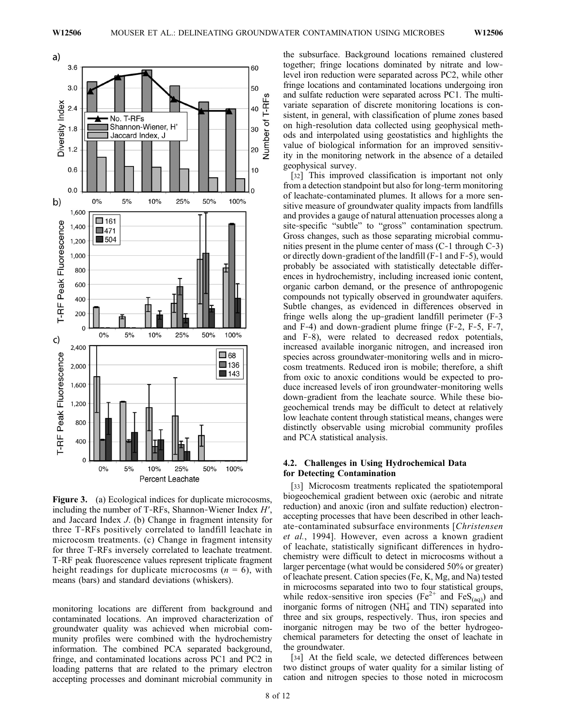

Figure 3. (a) Ecological indices for duplicate microcosms, including the number of T‐RFs, Shannon‐Wiener Index H′, and Jaccard Index J. (b) Change in fragment intensity for three T‐RFs positively correlated to landfill leachate in microcosm treatments. (c) Change in fragment intensity for three T‐RFs inversely correlated to leachate treatment. T‐RF peak fluorescence values represent triplicate fragment height readings for duplicate microcosms  $(n = 6)$ , with means (bars) and standard deviations (whiskers).

monitoring locations are different from background and contaminated locations. An improved characterization of groundwater quality was achieved when microbial community profiles were combined with the hydrochemistry information. The combined PCA separated background, fringe, and contaminated locations across PC1 and PC2 in loading patterns that are related to the primary electron accepting processes and dominant microbial community in

the subsurface. Background locations remained clustered together; fringe locations dominated by nitrate and low‐ level iron reduction were separated across PC2, while other fringe locations and contaminated locations undergoing iron and sulfate reduction were separated across PC1. The multivariate separation of discrete monitoring locations is consistent, in general, with classification of plume zones based on high‐resolution data collected using geophysical methods and interpolated using geostatistics and highlights the value of biological information for an improved sensitivity in the monitoring network in the absence of a detailed geophysical survey.

[32] This improved classification is important not only from a detection standpoint but also for long-term monitoring of leachate‐contaminated plumes. It allows for a more sensitive measure of groundwater quality impacts from landfills and provides a gauge of natural attenuation processes along a site-specific "subtle" to "gross" contamination spectrum. Gross changes, such as those separating microbial communities present in the plume center of mass (C‐1 through C‐3) or directly down‐gradient of the landfill (F‐1 and F‐5), would probably be associated with statistically detectable differences in hydrochemistry, including increased ionic content, organic carbon demand, or the presence of anthropogenic compounds not typically observed in groundwater aquifers. Subtle changes, as evidenced in differences observed in fringe wells along the up-gradient landfill perimeter (F-3 and F-4) and down-gradient plume fringe  $(F-2, F-5, F-7, F-7)$ and F‐8), were related to decreased redox potentials, increased available inorganic nitrogen, and increased iron species across groundwater–monitoring wells and in microcosm treatments. Reduced iron is mobile; therefore, a shift from oxic to anoxic conditions would be expected to produce increased levels of iron groundwater‐monitoring wells down‐gradient from the leachate source. While these biogeochemical trends may be difficult to detect at relatively low leachate content through statistical means, changes were distinctly observable using microbial community profiles and PCA statistical analysis.

#### 4.2. Challenges in Using Hydrochemical Data for Detecting Contamination

[33] Microcosm treatments replicated the spatiotemporal biogeochemical gradient between oxic (aerobic and nitrate reduction) and anoxic (iron and sulfate reduction) electron‐ accepting processes that have been described in other leachate-contaminated subsurface environments [Christensen] et al., 1994]. However, even across a known gradient of leachate, statistically significant differences in hydrochemistry were difficult to detect in microcosms without a larger percentage (what would be considered 50% or greater) of leachate present. Cation species (Fe, K, Mg, and Na) tested in microcosms separated into two to four statistical groups, while redox-sensitive iron species (Fe<sup>2+</sup> and FeS<sub>(aq)</sub>) and inorganic forms of nitrogen  $(NH_4^+$  and TIN) separated into three and six groups, respectively. Thus, iron species and inorganic nitrogen may be two of the better hydrogeochemical parameters for detecting the onset of leachate in the groundwater.

[34] At the field scale, we detected differences between two distinct groups of water quality for a similar listing of cation and nitrogen species to those noted in microcosm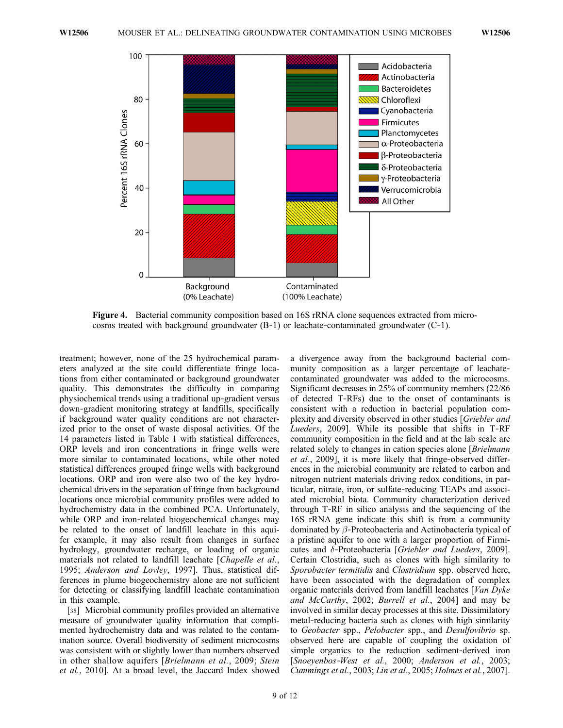

Figure 4. Bacterial community composition based on 16S rRNA clone sequences extracted from microcosms treated with background groundwater (B‐1) or leachate‐contaminated groundwater (C‐1).

treatment; however, none of the 25 hydrochemical parameters analyzed at the site could differentiate fringe locations from either contaminated or background groundwater quality. This demonstrates the difficulty in comparing physiochemical trends using a traditional up‐gradient versus down‐gradient monitoring strategy at landfills, specifically if background water quality conditions are not characterized prior to the onset of waste disposal activities. Of the 14 parameters listed in Table 1 with statistical differences, ORP levels and iron concentrations in fringe wells were more similar to contaminated locations, while other noted statistical differences grouped fringe wells with background locations. ORP and iron were also two of the key hydrochemical drivers in the separation of fringe from background locations once microbial community profiles were added to hydrochemistry data in the combined PCA. Unfortunately, while ORP and iron-related biogeochemical changes may be related to the onset of landfill leachate in this aquifer example, it may also result from changes in surface hydrology, groundwater recharge, or loading of organic materials not related to landfill leachate [Chapelle et al., 1995; Anderson and Lovley, 1997]. Thus, statistical differences in plume biogeochemistry alone are not sufficient for detecting or classifying landfill leachate contamination in this example.

[35] Microbial community profiles provided an alternative measure of groundwater quality information that complimented hydrochemistry data and was related to the contamination source. Overall biodiversity of sediment microcosms was consistent with or slightly lower than numbers observed in other shallow aquifers [Brielmann et al., 2009; Stein et al., 2010]. At a broad level, the Jaccard Index showed a divergence away from the background bacterial community composition as a larger percentage of leachate– contaminated groundwater was added to the microcosms. Significant decreases in 25% of community members (22/86 of detected T‐RFs) due to the onset of contaminants is consistent with a reduction in bacterial population complexity and diversity observed in other studies [Griebler and Lueders, 2009]. While its possible that shifts in T-RF community composition in the field and at the lab scale are related solely to changes in cation species alone [Brielmann et al., 2009], it is more likely that fringe-observed differences in the microbial community are related to carbon and nitrogen nutrient materials driving redox conditions, in particular, nitrate, iron, or sulfate‐reducing TEAPs and associated microbial biota. Community characterization derived through T‐RF in silico analysis and the sequencing of the 16S rRNA gene indicate this shift is from a community dominated by  $\beta$ -Proteobacteria and Actinobacteria typical of a pristine aquifer to one with a larger proportion of Firmicutes and  $\delta$ -Proteobacteria [Griebler and Lueders, 2009]. Certain Clostridia, such as clones with high similarity to Sporobacter termitidis and Clostridium spp. observed here, have been associated with the degradation of complex organic materials derived from landfill leachates [Van Dyke and McCarthy, 2002; Burrell et al., 2004] and may be involved in similar decay processes at this site. Dissimilatory metal‐reducing bacteria such as clones with high similarity to Geobacter spp., Pelobacter spp., and Desulfovibrio sp. observed here are capable of coupling the oxidation of simple organics to the reduction sediment‐derived iron [Snoeyenbos‐West et al., 2000; Anderson et al., 2003; Cummings et al., 2003; Lin et al., 2005; Holmes et al., 2007].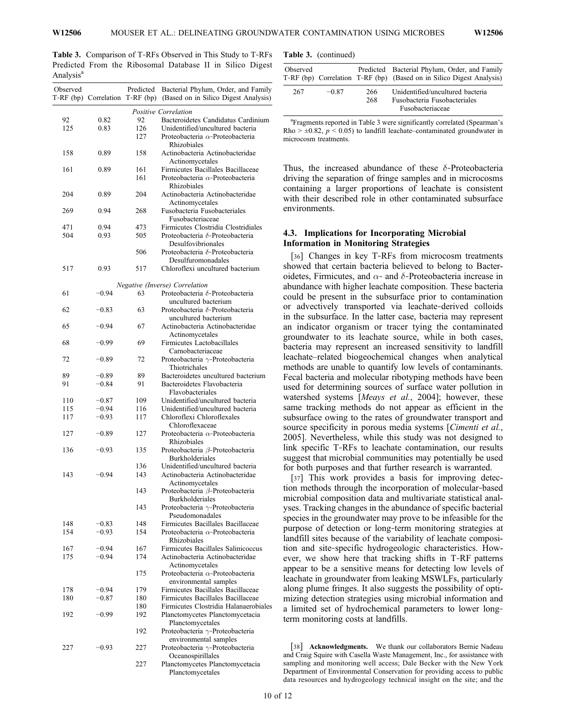| лпагу эгэ |                                 |           |                                                                             |
|-----------|---------------------------------|-----------|-----------------------------------------------------------------------------|
| Observed  | T-RF (bp) Correlation T-RF (bp) | Predicted | Bacterial Phylum, Order, and Family<br>(Based on in Silico Digest Analysis) |
|           |                                 |           | Positive Correlation                                                        |
| 92        | 0.82                            | 92        | Bacteroidetes Candidatus Cardinium                                          |
| 125       | 0.83                            | 126       | Unidentified/uncultured bacteria                                            |
|           |                                 | 127       | Proteobacteria $\alpha$ -Proteobacteria                                     |
|           |                                 |           | Rhizobiales                                                                 |
| 158       | 0.89                            | 158       | Actinobacteria Actinobacteridae                                             |
|           |                                 |           | Actinomycetales                                                             |
| 161       | 0.89                            | 161       | Firmicutes Bacillales Bacillaceae                                           |
|           |                                 | 161       | Proteobacteria $\alpha$ -Proteobacteria                                     |
|           |                                 |           | Rhizobiales                                                                 |
| 204       | 0.89                            | 204       | Actinobacteria Actinobacteridae                                             |
|           |                                 |           | Actinomycetales                                                             |
| 269       | 0.94                            | 268       | Fusobacteria Fusobacteriales                                                |
|           |                                 |           | Fusobacteriaceae                                                            |
| 471       | 0.94                            | 473       | Firmicutes Clostridia Clostridiales                                         |
| 504       | 0.93                            | 505       | Proteobacteria $\delta$ -Proteobacteria                                     |
|           |                                 |           | Desulfovibrionales                                                          |
|           |                                 | 506       | Proteobacteria $\delta$ -Proteobacteria                                     |
|           |                                 |           | Desulfuromonadales                                                          |
| 517       | 0.93                            | 517       | Chloroflexi uncultured bacterium                                            |
|           |                                 |           |                                                                             |
|           |                                 |           | Negative (Inverse) Correlation                                              |
| 61        | $-0.94$                         | 63        | Proteobacteria $\delta$ -Proteobacteria                                     |
|           |                                 |           | uncultured bacterium                                                        |
| 62        | $-0.83$                         | 63        | Proteobacteria $\delta$ -Proteobacteria                                     |
|           |                                 |           | uncultured bacterium                                                        |
| 65        | $-0.94$                         | 67        | Actinobacteria Actinobacteridae                                             |
|           |                                 |           | Actinomycetales                                                             |
| 68        | $-0.99$                         | 69        | <b>Firmicutes Lactobacillales</b>                                           |
|           |                                 |           | Carnobacteriaceae                                                           |
| 72        | $-0.89$                         | 72        | Proteobacteria $\gamma$ -Proteobacteria                                     |
|           |                                 |           | Thiotrichales                                                               |
| 89        | $-0.89$                         | 89        | Bacteroidetes uncultured bacterium                                          |
| 91        | $-0.84$                         | 91        | Bacteroidetes Flavobacteria                                                 |
|           |                                 |           | Flavobacteriales                                                            |
| 110       | $-0.87$                         | 109       | Unidentified/uncultured bacteria                                            |
| 115       | $-0.94$                         | 116       | Unidentified/uncultured bacteria                                            |
| 117       | $-0.93$                         | 117       | Chloroflexi Chloroflexales                                                  |
|           |                                 |           | Chloroflexaceae                                                             |
| 127       | $-0.89$                         | 127       | Proteobacteria $\alpha$ -Proteobacteria                                     |
|           |                                 |           | Rhizobiales                                                                 |
| 136       | $-0.93$                         | 135       | Proteobacteria $\beta$ -Proteobacteria                                      |
|           |                                 |           | <b>Burkholderiales</b>                                                      |
|           |                                 | 136       | Unidentified/uncultured bacteria                                            |
| 143       | $-0.94$                         | 143       | Actinobacteria Actinobacteridae                                             |
|           |                                 |           | Actinomycetales                                                             |
|           |                                 | 143       | Proteobacteria $\beta$ -Proteobacteria                                      |
|           |                                 |           | <b>Burkholderiales</b>                                                      |
|           |                                 | 143       | Proteobacteria $\gamma$ -Proteobacteria                                     |
|           |                                 |           | Pseudomonadales                                                             |
| 148       | $-0.83$                         | 148       | Firmicutes Bacillales Bacillaceae                                           |
| 154       | $-0.93$                         | 154       | Proteobacteria $\alpha$ -Proteobacteria                                     |
|           |                                 |           | <b>Rhizobiales</b>                                                          |
| 167       | $-0.94$                         | 167       | Firmicutes Bacillales Salinicoccus                                          |
| 175       | $-0.94$                         | 174       | Actinobacteria Actinobacteridae                                             |
|           |                                 |           | Actinomycetales                                                             |
|           |                                 | 175       | Proteobacteria $\alpha$ -Proteobacteria                                     |
|           |                                 |           | environmental samples                                                       |
| 178       | $-0.94$                         | 179       | Firmicutes Bacillales Bacillaceae                                           |
| 180       | $-0.87$                         | 180       | Firmicutes Bacillales Bacillaceae                                           |
|           |                                 |           | Firmicutes Clostridia Halanaerobiales                                       |
|           |                                 | 180       |                                                                             |
| 192       | $-0.99$                         | 192       | Planctomycetes Planctomycetacia                                             |
|           |                                 |           | Planctomycetales                                                            |
|           |                                 | 192       | Proteobacteria $\gamma$ -Proteobacteria                                     |
|           |                                 |           | environmental samples                                                       |
| 227       | $-0.93$                         | 227       | Proteobacteria $\gamma$ -Proteobacteria                                     |
|           |                                 |           | Oceanospirillales                                                           |
|           |                                 | 227       | Planctomycetes Planctomycetacia                                             |
|           |                                 |           | Planctomycetales                                                            |

Table 3. Comparison of T‐RFs Observed in This Study to T‐RFs Predicted From the Ribosomal Database II in Silico Digest Analysis<sup>a</sup>

Table 3. (continued)

| Observed |         |            | Predicted Bacterial Phylum, Order, and Family<br>T-RF (bp) Correlation T-RF (bp) (Based on in Silico Digest Analysis) |
|----------|---------|------------|-----------------------------------------------------------------------------------------------------------------------|
| 267      | $-0.87$ | 266<br>268 | Unidentified/uncultured bacteria<br>Fusobacteria Fusobacteriales<br>Fusobacteriaceae                                  |

<sup>a</sup> Fragments reported in Table 3 were significantly correlated (Spearman's Rho  $> \pm 0.82$ ,  $p < 0.05$ ) to landfill leachate–contaminated groundwater in microcosm treatments.

Thus, the increased abundance of these  $\delta$ -Proteobacteria driving the separation of fringe samples and in microcosms containing a larger proportions of leachate is consistent with their described role in other contaminated subsurface environments.

#### 4.3. Implications for Incorporating Microbial Information in Monitoring Strategies

[36] Changes in key T-RFs from microcosm treatments showed that certain bacteria believed to belong to Bacteroidetes, Firmicutes, and  $\alpha$ - and  $\delta$ -Proteobacteria increase in abundance with higher leachate composition. These bacteria could be present in the subsurface prior to contamination or advectively transported via leachate‐derived colloids in the subsurface. In the latter case, bacteria may represent an indicator organism or tracer tying the contaminated groundwater to its leachate source, while in both cases, bacteria may represent an increased sensitivity to landfill leachate–related biogeochemical changes when analytical methods are unable to quantify low levels of contaminants. Fecal bacteria and molecular ribotyping methods have been used for determining sources of surface water pollution in watershed systems [Meays et al., 2004]; however, these same tracking methods do not appear as efficient in the subsurface owing to the rates of groundwater transport and source specificity in porous media systems [*Cimenti et al.*, 2005]. Nevertheless, while this study was not designed to link specific T‐RFs to leachate contamination, our results suggest that microbial communities may potentially be used for both purposes and that further research is warranted.

[37] This work provides a basis for improving detection methods through the incorporation of molecular‐based microbial composition data and multivariate statistical analyses. Tracking changes in the abundance of specific bacterial species in the groundwater may prove to be infeasible for the purpose of detection or long‐term monitoring strategies at landfill sites because of the variability of leachate composition and site‐specific hydrogeologic characteristics. However, we show here that tracking shifts in T‐RF patterns appear to be a sensitive means for detecting low levels of leachate in groundwater from leaking MSWLFs, particularly along plume fringes. It also suggests the possibility of optimizing detection strategies using microbial information and a limited set of hydrochemical parameters to lower long‐ term monitoring costs at landfills.

[38] Acknowledgments. We thank our collaborators Bernie Nadeau and Craig Squire with Casella Waste Management, Inc., for assistance with sampling and monitoring well access; Dale Becker with the New York Department of Environmental Conservation for providing access to public data resources and hydrogeology technical insight on the site; and the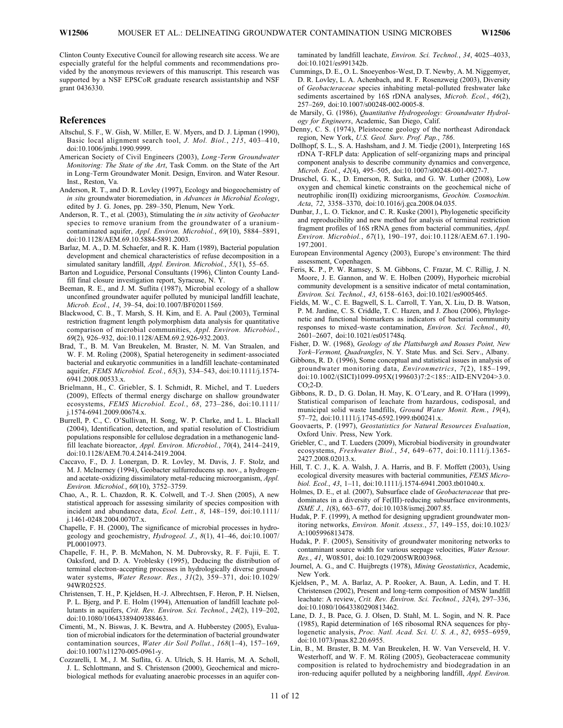Clinton County Executive Council for allowing research site access. We are especially grateful for the helpful comments and recommendations provided by the anonymous reviewers of this manuscript. This research was supported by a NSF EPSCoR graduate research assistantship and NSF grant 0436330.

#### References

- Altschul, S. F., W. Gish, W. Miller, E. W. Myers, and D. J. Lipman (1990), Basic local alignment search tool, J. Mol. Biol., 215, 403–410, doi:10.1006/jmbi.1990.9999.
- American Society of Civil Engineers (2003), Long-Term Groundwater Monitoring: The State of the Art, Task Comm. on the State of the Art in Long‐Term Groundwater Monit. Design, Environ. and Water Resour. Inst., Reston, Va.
- Anderson, R. T., and D. R. Lovley (1997), Ecology and biogeochemistry of in situ groundwater bioremediation, in Advances in Microbial Ecology, edited by J. G. Jones, pp. 289–350, Plenum, New York.
- Anderson, R. T., et al. (2003), Stimulating the *in situ* activity of *Geobacter* species to remove uranium from the groundwater of a uraniumcontaminated aquifer, Appl. Environ. Microbiol., 69(10), 5884–5891, doi:10.1128/AEM.69.10.5884-5891.2003.
- Barlaz, M. A., D. M. Schaefer, and R. K. Ham (1989), Bacterial population development and chemical characteristics of refuse decomposition in a simulated sanitary landfill, *Appl. Environ. Microbiol.*, 55(1), 55–65.
- Barton and Loguidice, Personal Consultants (1996), Clinton County Landfill final closure investigation report, Syracuse, N. Y.
- Beeman, R. E., and J. M. Suflita (1987), Microbial ecology of a shallow unconfined groundwater aquifer polluted by municipal landfill leachate, Microb. Ecol., 14, 39–54, doi:10.1007/BF02011569.
- Blackwood, C. B., T. Marsh, S. H. Kim, and E. A. Paul (2003), Terminal restriction fragment length polymorphism data analysis for quantitative comparison of microbial communities, Appl. Environ. Microbiol., 69(2), 926–932, doi:10.1128/AEM.69.2.926-932.2003.
- Brad, T., B. M. Van Breukelen, M. Braster, N. M. Van Straalen, and W. F. M. Roling (2008), Spatial heterogeneity in sediment‐associated bacterial and eukaryotic communities in a landfill leachate‐contaminated aquifer, FEMS Microbiol. Ecol., 65(3), 534–543, doi:10.1111/j.1574- 6941.2008.00533.x.
- Brielmann, H., C. Griebler, S. I. Schmidt, R. Michel, and T. Lueders (2009), Effects of thermal energy discharge on shallow groundwater ecosystems, FEMS Microbiol. Ecol., 68, 273–286, doi:10.1111/ j.1574-6941.2009.00674.x.
- Burrell, P. C., C. O'Sullivan, H. Song, W. P. Clarke, and L. L. Blackall (2004), Identification, detection, and spatial resolution of Clostridium populations responsible for cellulose degradation in a methanogenic landfill leachate bioreactor, Appl. Environ. Microbiol., 70(4), 2414–2419, doi:10.1128/AEM.70.4.2414-2419.2004.
- Caccavo, F., D. J. Lonergan, D. R. Lovley, M. Davis, J. F. Stolz, and M. J. McInerney (1994), Geobacter sulfurreducens sp. nov., a hydrogenand acetate-oxidizing dissimilatory metal-reducing microorganism, Appl. Environ. Microbiol., 60(10), 3752–3759.
- Chao, A., R. L. Chazdon, R. K. Colwell, and T.‐J. Shen (2005), A new statistical approach for assessing similarity of species composition with incident and abundance data, Ecol. Lett., 8, 148–159, doi:10.1111/ j.1461-0248.2004.00707.x.
- Chapelle, F. H. (2000), The significance of microbial processes in hydrogeology and geochemistry, Hydrogeol. J., 8(1), 41–46, doi:10.1007/ PL00010973.
- Chapelle, F. H., P. B. McMahon, N. M. Dubrovsky, R. F. Fujii, E. T. Oaksford, and D. A. Vroblesky (1995), Deducing the distribution of terminal electron‐accepting processes in hydrologically diverse groundwater systems, Water Resour. Res., 31(2), 359–371, doi:10.1029/ 94WR02525.
- Christensen, T. H., P. Kjeldsen, H.‐J. Albrechtsen, F. Heron, P. H. Nielsen, P. L. Bjerg, and P. E. Holm (1994), Attenuation of landfill leachate pollutants in aquifers, Crit. Rev. Environ. Sci. Technol., 24(2), 119–202, doi:10.1080/10643389409388463.
- Cimenti, M., N. Biswas, J. K. Bewtra, and A. Hubberstey (2005), Evaluation of microbial indicators for the determination of bacterial groundwater contamination sources, Water Air Soil Pollut., 168(1–4), 157–169, doi:10.1007/s11270-005-0961-y.
- Cozzarelli, I. M., J. M. Suflita, G. A. Ulrich, S. H. Harris, M. A. Scholl, J. L. Schlottmann, and S. Christenson (2000), Geochemical and microbiological methods for evaluating anaerobic processes in an aquifer con-

taminated by landfill leachate, Environ. Sci. Technol., 34, 4025-4033, doi:10.1021/es991342b.

- Cummings, D. E., O. L. Snoeyenbos‐West, D. T. Newby, A. M. Niggemyer, D. R. Lovley, L. A. Achenbach, and R. F. Rosenzweig (2003), Diversity of Geobacteraceae species inhabiting metal‐polluted freshwater lake sediments ascertained by 16S rDNA analyses, Microb. Ecol., 46(2), 257–269, doi:10.1007/s00248-002-0005-8.
- de Marsily, G. (1986), Quantitative Hydrogeology: Groundwater Hydrology for Engineers, Academic, San Diego, Calif.
- Denny, C. S. (1974), Pleistocene geology of the northeast Adirondack region, New York, U.S. Geol. Surv. Prof. Pap., 786.
- Dollhopf, S. L., S. A. Hashsham, and J. M. Tiedje (2001), Interpreting 16S rDNA T‐RFLP data: Application of self‐organizing maps and principal component analysis to describe community dynamics and convergence, Microb. Ecol., 42(4), 495–505, doi:10.1007/s00248-001-0027-7.
- Druschel, G. K., D. Emerson, R. Sutka, and G. W. Luther (2008), Low oxygen and chemical kinetic constraints on the geochemical niche of neutrophilic iron(II) oxidizing microorganisms, Geochim. Cosmochim. Acta, 72, 3358–3370, doi:10.1016/j.gca.2008.04.035.
- Dunbar, J., L. O. Ticknor, and C. R. Kuske (2001), Phylogenetic specificity and reproducibility and new method for analysis of terminal restriction fragment profiles of 16S rRNA genes from bacterial communities, Appl. Environ. Microbiol., 67(1), 190–197, doi:10.1128/AEM.67.1.190- 197.2001.
- European Environmental Agency (2003), Europe's environment: The third assessment, Copenhagen.
- Feris, K. P., P. W. Ramsey, S. M. Gibbons, C. Frazar, M. C. Rillig, J. N. Moore, J. E. Gannon, and W. E. Holben (2009), Hyporheic microbial community development is a sensitive indicator of metal contamination, Environ. Sci. Technol., 43, 6158–6163, doi:10.1021/es9005465.
- Fields, M. W., C. E. Bagwell, S. L. Carroll, T. Yan, X. Liu, D. B. Watson, P. M. Jardine, C. S. Criddle, T. C. Hazen, and J. Zhou (2006), Phylogenetic and functional biomarkers as indicators of bacterial community responses to mixed-waste contamination, Environ. Sci. Technol., 40, 2601–2607, doi:10.1021/es051748q.
- Fisher, D. W. (1968), Geology of the Plattsburgh and Rouses Point, New York–Vermont, Quadrangles, N. Y. State Mus. and Sci. Serv., Albany.
- Gibbons, R. D. (1996), Some conceptual and statistical issues in analysis of groundwater monitoring data, Environmetrics, 7(2), 185–199, doi:10.1002/(SICI)1099-095X(199603)7:2<185::AID-ENV204>3.0. CO;2-D.
- Gibbons, R. D., D. G. Dolan, H. May, K. O'Leary, and R. O'Hara (1999), Statistical comparison of leachate from hazardous, codisposal, and municipal solid waste landfills, Ground Water Monit. Rem., 19(4), 57–72, doi:10.1111/j.1745-6592.1999.tb00241.x.
- Goovaerts, P. (1997), Geostatistics for Natural Resources Evaluation, Oxford Univ. Press, New York.
- Griebler, C., and T. Lueders (2009), Microbial biodiversity in groundwater ecosystems, Freshwater Biol., 54, 649–677, doi:10.1111/j.1365- 2427.2008.02013.x.
- Hill, T. C. J., K. A. Walsh, J. A. Harris, and B. F. Moffett (2003), Using ecological diversity measures with bacterial communities, FEMS Microbiol. Ecol., 43, 1–11, doi:10.1111/j.1574-6941.2003.tb01040.x.
- Holmes, D. E., et al. (2007), Subsurface clade of Geobacteraceae that predominates in a diversity of Fe(III)-reducing subsurface environments, ISME J., 1(8), 663–677, doi:10.1038/ismej.2007.85.
- Hudak, P. F. (1999), A method for designing upgradient groundwater monitoring networks, Environ. Monit. Assess., 57, 149–155, doi:10.1023/ A:1005996813478.
- Hudak, P. F. (2005), Sensitivity of groundwater monitoring networks to contaminant source width for various seepage velocities, Water Resour. Res., 41, W08501, doi:10.1029/2005WR003968.
- Journel, A. G., and C. Huijbregts (1978), Mining Geostatistics, Academic, New York.
- Kjeldsen, P., M. A. Barlaz, A. P. Rooker, A. Baun, A. Ledin, and T. H. Christensen (2002), Present and long‐term composition of MSW landfill leachate: A review, Crit. Rev. Environ. Sci. Technol., 32(4), 297–336, doi:10.1080/10643380290813462.
- Lane, D. J., B. Pace, G. J. Olsen, D. Stahl, M. L. Sogin, and N. R. Pace (1985), Rapid determination of 16S ribosomal RNA sequences for phylogenetic analysis, Proc. Natl. Acad. Sci. U. S. A., 82, 6955–6959, doi:10.1073/pnas.82.20.6955.
- Lin, B., M. Braster, B. M. Van Breukelen, H. W. Van Verseveld, H. V. Westerhoff, and W. F. M. Röling (2005), Geobacteraceae community composition is related to hydrochemistry and biodegradation in an iron-reducing aquifer polluted by a neighboring landfill, Appl. Environ.